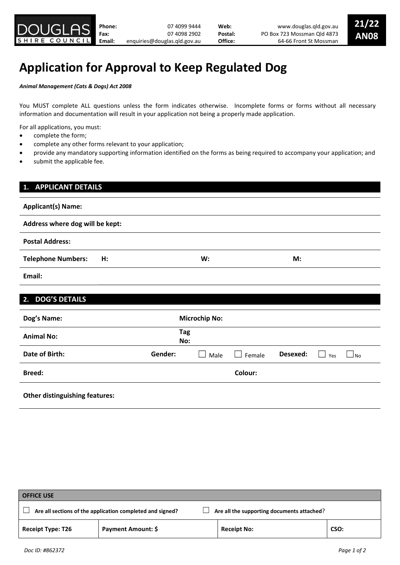# Application for Approval to Keep Regulated Dog

Animal Management (Cats & Dogs) Act 2008

You MUST complete ALL questions unless the form indicates otherwise. Incomplete forms or forms without all necessary information and documentation will result in your application not being a properly made application.

For all applications, you must:

- complete the form;
- complete any other forms relevant to your application;
- provide any mandatory supporting information identified on the forms as being required to accompany your application; and
- submit the applicable fee.

| <b>APPLICANT DETAILS</b><br>1.  |    |            |                      |         |          |     |      |
|---------------------------------|----|------------|----------------------|---------|----------|-----|------|
| <b>Applicant(s) Name:</b>       |    |            |                      |         |          |     |      |
| Address where dog will be kept: |    |            |                      |         |          |     |      |
| <b>Postal Address:</b>          |    |            |                      |         |          |     |      |
| <b>Telephone Numbers:</b>       | H: |            | W:                   |         | M:       |     |      |
| Email:                          |    |            |                      |         |          |     |      |
| <b>DOG'S DETAILS</b><br>2.      |    |            |                      |         |          |     |      |
| Dog's Name:                     |    |            | <b>Microchip No:</b> |         |          |     |      |
| <b>Animal No:</b>               |    | Tag<br>No: |                      |         |          |     |      |
| <b>Date of Birth:</b>           |    | Gender:    | Male                 | Female  | Desexed: | Yes | ⊿ No |
| <b>Breed:</b>                   |    |            |                      | Colour: |          |     |      |

## Other distinguishing features:

| <b>OFFICE USE</b>                                                                                       |                    |                    |      |  |  |  |  |  |
|---------------------------------------------------------------------------------------------------------|--------------------|--------------------|------|--|--|--|--|--|
| Are all the supporting documents attached?<br>Are all sections of the application completed and signed? |                    |                    |      |  |  |  |  |  |
| <b>Receipt Type: T26</b>                                                                                | Payment Amount: \$ | <b>Receipt No:</b> | CSO: |  |  |  |  |  |